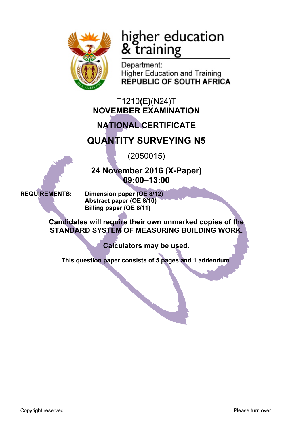

# higher education<br>& training

Department: **Higher Education and Training REPUBLIC OF SOUTH AFRICA** 

T1210**(E)**(N24)T **NOVEMBER EXAMINATION**

## **NATIONAL CERTIFICATE**

## **QUANTITY SURVEYING N5**

(2050015)

**24 November 2016 (X-Paper) 09:00–13:00**

**REQUIREMENTS: Dimension paper (OE 8/12) Abstract paper (OE 8/10) Billing paper (OE 8/11)**

> **Candidates will require their own unmarked copies of the STANDARD SYSTEM OF MEASURING BUILDING WORK.**

> > **Calculators may be used.**

**This question paper consists of 5 pages and 1 addendum.**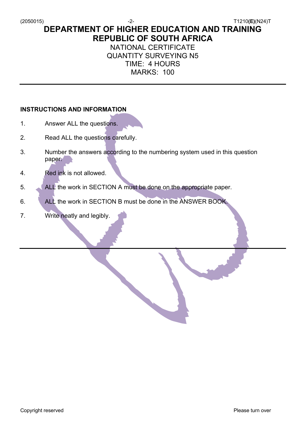(2050015) -2- T1210**(E)**(N24)T

**DEPARTMENT OF HIGHER EDUCATION AND TRAINING REPUBLIC OF SOUTH AFRICA**

NATIONAL CERTIFICATE QUANTITY SURVEYING N5 TIME: 4 HOURS

MARKS: 100

#### **INSTRUCTIONS AND INFORMATION**

- 1. Answer ALL the questions.
- 2. Read ALL the questions carefully.
- 3. Number the answers according to the numbering system used in this question paper.
- 4. Red ink is not allowed.
- 5. ALL the work in SECTION A must be done on the appropriate paper.
- 6. ALL the work in SECTION B must be done in the ANSWER BOOK.
- 7. Write neatly and legibly.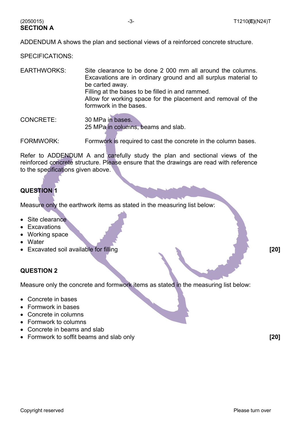ADDENDUM A shows the plan and sectional views of a reinforced concrete structure.

SPECIFICATIONS:

**SECTION A**

EARTHWORKS: Site clearance to be done 2 000 mm all around the columns. Excavations are in ordinary ground and all surplus material to be carted away. Filling at the bases to be filled in and rammed. Allow for working space for the placement and removal of the formwork in the bases.

CONCRETE: 30 MPa in bases. 25 MPa in columns, beams and slab.

FORMWORK: FORMWORK: Formwork is required to cast the concrete in the column bases.

Refer to ADDENDUM A and carefully study the plan and sectional views of the reinforced concrete structure. Please ensure that the drawings are read with reference to the specifications given above.

#### **QUESTION 1**

Measure only the earthwork items as stated in the measuring list below:

- Site clearance
- Excavations
- Working space
- Water
- Excavated soil available for filling **[20]**

#### **QUESTION 2**

Measure only the concrete and formwork items as stated in the measuring list below:

- Concrete in bases
- Formwork in bases
- Concrete in columns
- Formwork to columns
- Concrete in beams and slab
- Formwork to soffit beams and slab only **[20]**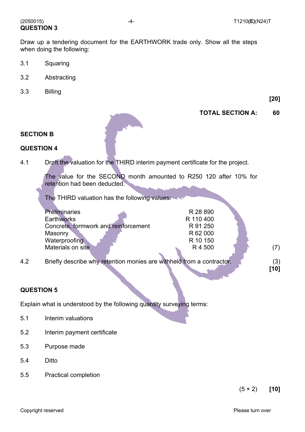#### (2050015) -4- T1210**(E)**(N24)T **QUESTION 3**

Draw up a tendering document for the EARTHWORK trade only. Show all the steps when doing the following:

- 3.1 Squaring
- 3.2 Abstracting
- 3.3 Billing

**[20]**

#### **TOTAL SECTION A: 60**



### **SECTION B QUESTION 4**

4.1 Draft the valuation for the THIRD interim payment certificate for the project.

The value for the SECOND month amounted to R250 120 after 10% for retention had been deducted.

The THIRD valuation has the following values:

| <b>Preliminaries</b>                        | R 28 890                   |     |
|---------------------------------------------|----------------------------|-----|
| <b>Earthworks</b>                           | R 110 400                  |     |
| Concrete, formwork and reinforcement        | R 91 250                   |     |
| Masonry                                     | R 62 000                   |     |
| Waterproofing                               | R 10 150                   |     |
| Materials on site                           | R4500                      |     |
|                                             |                            |     |
| Dejafly dagasika wayuntantian magnipa ara w | ithhala frama a controotal | (2) |

4.2 Briefly describe why retention monies are withheld from a contractor. (3)

**[10]**

#### **QUESTION 5**

Explain what is understood by the following quantity surveying terms:

- 5.1 Interim valuations
- 5.2 Interim payment certificate
- 5.3 Purpose made
- 5.4 Ditto
- 5.5 Practical completion

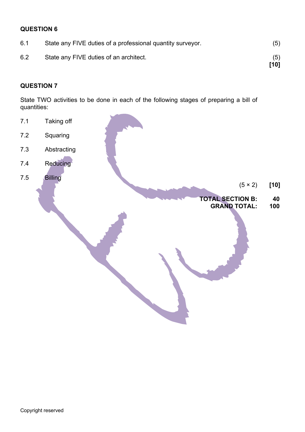#### **QUESTION 6**

| 6.1 | State any FIVE duties of a professional quantity surveyor. | (5)         |
|-----|------------------------------------------------------------|-------------|
| 6.2 | State any FIVE duties of an architect.                     | (5)<br>[10] |

#### **QUESTION 7**

State TWO activities to be done in each of the following stages of preparing a bill of quantities: